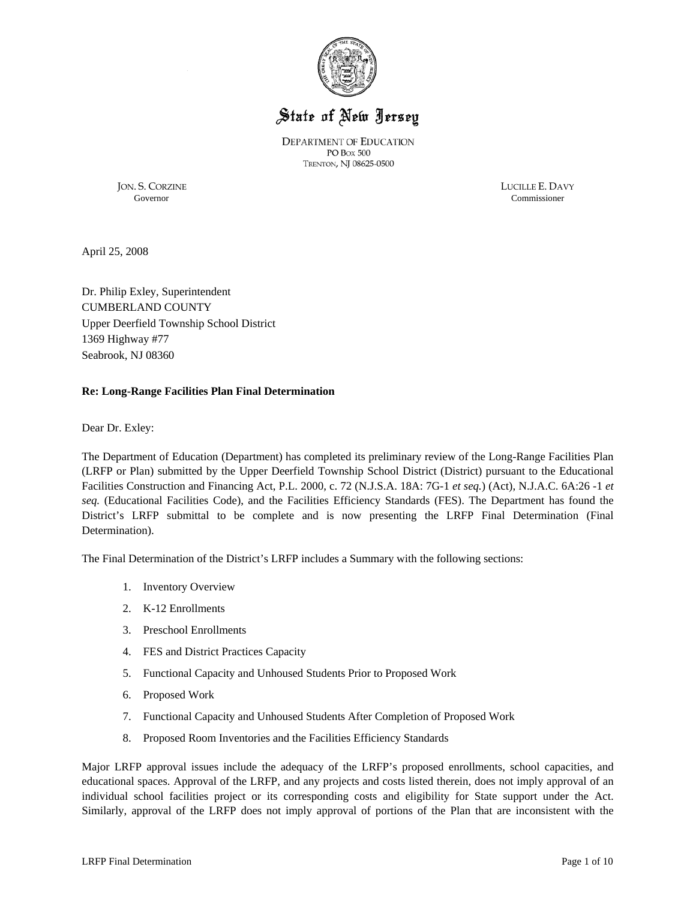

# State of New Jersey

**DEPARTMENT OF EDUCATION** PO Box 500 TRENTON, NJ 08625-0500

Governor Commissioner

JON. S. CORZINE LUCILLE E. DAVY

April 25, 2008

Dr. Philip Exley, Superintendent CUMBERLAND COUNTY Upper Deerfield Township School District 1369 Highway #77 Seabrook, NJ 08360

## **Re: Long-Range Facilities Plan Final Determination**

Dear Dr. Exley:

The Department of Education (Department) has completed its preliminary review of the Long-Range Facilities Plan (LRFP or Plan) submitted by the Upper Deerfield Township School District (District) pursuant to the Educational Facilities Construction and Financing Act, P.L. 2000, c. 72 (N.J.S.A. 18A: 7G-1 *et seq.*) (Act), N.J.A.C. 6A:26 -1 *et seq.* (Educational Facilities Code), and the Facilities Efficiency Standards (FES). The Department has found the District's LRFP submittal to be complete and is now presenting the LRFP Final Determination (Final Determination).

The Final Determination of the District's LRFP includes a Summary with the following sections:

- 1. Inventory Overview
- 2. K-12 Enrollments
- 3. Preschool Enrollments
- 4. FES and District Practices Capacity
- 5. Functional Capacity and Unhoused Students Prior to Proposed Work
- 6. Proposed Work
- 7. Functional Capacity and Unhoused Students After Completion of Proposed Work
- 8. Proposed Room Inventories and the Facilities Efficiency Standards

Major LRFP approval issues include the adequacy of the LRFP's proposed enrollments, school capacities, and educational spaces. Approval of the LRFP, and any projects and costs listed therein, does not imply approval of an individual school facilities project or its corresponding costs and eligibility for State support under the Act. Similarly, approval of the LRFP does not imply approval of portions of the Plan that are inconsistent with the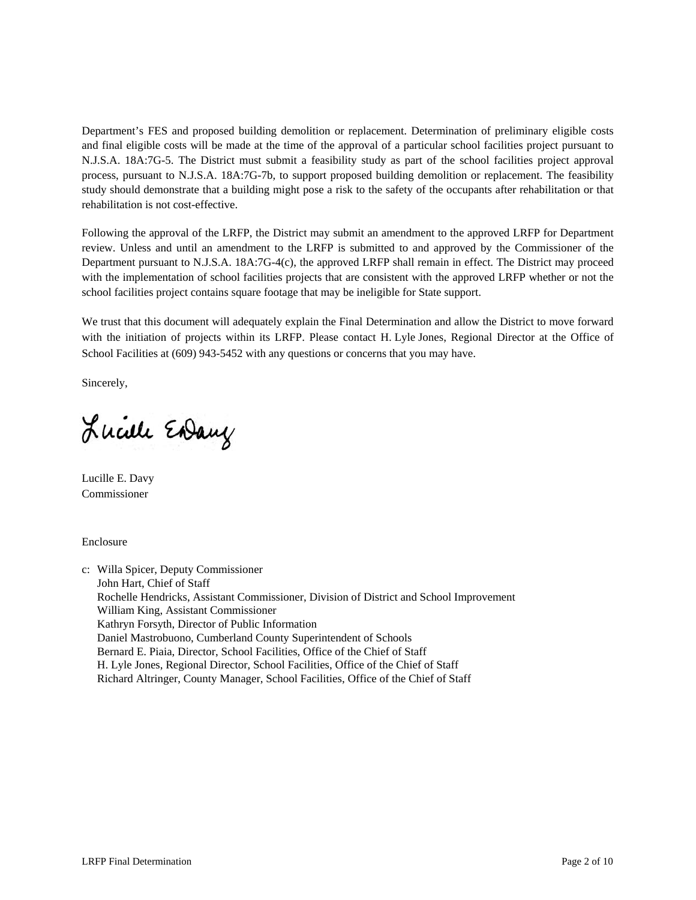Department's FES and proposed building demolition or replacement. Determination of preliminary eligible costs and final eligible costs will be made at the time of the approval of a particular school facilities project pursuant to N.J.S.A. 18A:7G-5. The District must submit a feasibility study as part of the school facilities project approval process, pursuant to N.J.S.A. 18A:7G-7b, to support proposed building demolition or replacement. The feasibility study should demonstrate that a building might pose a risk to the safety of the occupants after rehabilitation or that rehabilitation is not cost-effective.

Following the approval of the LRFP, the District may submit an amendment to the approved LRFP for Department review. Unless and until an amendment to the LRFP is submitted to and approved by the Commissioner of the Department pursuant to N.J.S.A. 18A:7G-4(c), the approved LRFP shall remain in effect. The District may proceed with the implementation of school facilities projects that are consistent with the approved LRFP whether or not the school facilities project contains square footage that may be ineligible for State support.

We trust that this document will adequately explain the Final Determination and allow the District to move forward with the initiation of projects within its LRFP. Please contact H. Lyle Jones, Regional Director at the Office of School Facilities at (609) 943-5452 with any questions or concerns that you may have.

Sincerely,

Lucille Endany

Lucille E. Davy Commissioner

Enclosure

c: Willa Spicer, Deputy Commissioner John Hart, Chief of Staff Rochelle Hendricks, Assistant Commissioner, Division of District and School Improvement William King, Assistant Commissioner Kathryn Forsyth, Director of Public Information Daniel Mastrobuono, Cumberland County Superintendent of Schools Bernard E. Piaia, Director, School Facilities, Office of the Chief of Staff H. Lyle Jones, Regional Director, School Facilities, Office of the Chief of Staff Richard Altringer, County Manager, School Facilities, Office of the Chief of Staff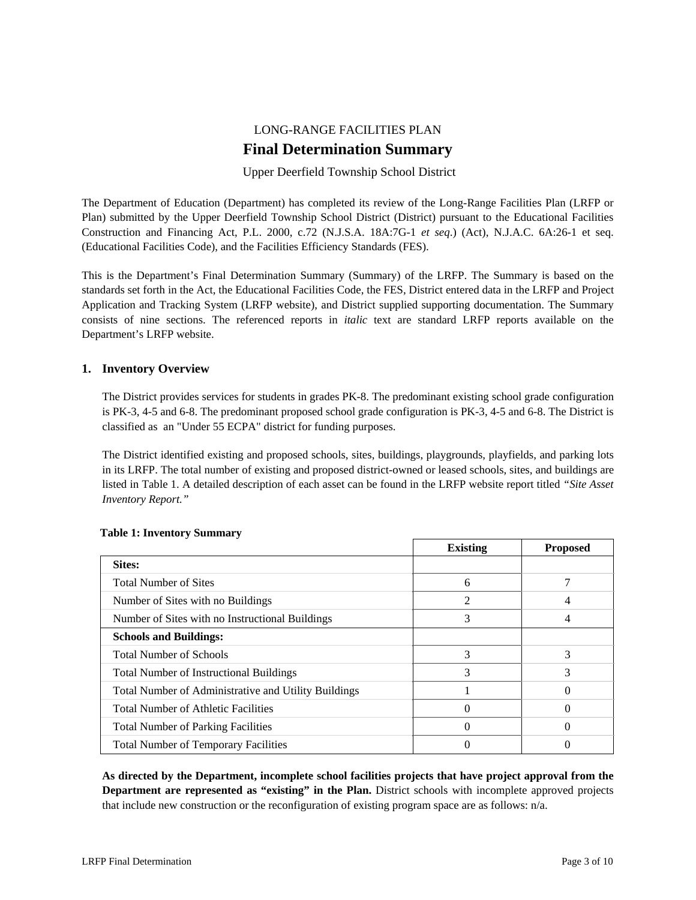# LONG-RANGE FACILITIES PLAN **Final Determination Summary**

# Upper Deerfield Township School District

The Department of Education (Department) has completed its review of the Long-Range Facilities Plan (LRFP or Plan) submitted by the Upper Deerfield Township School District (District) pursuant to the Educational Facilities Construction and Financing Act, P.L. 2000, c.72 (N.J.S.A. 18A:7G-1 *et seq*.) (Act), N.J.A.C. 6A:26-1 et seq. (Educational Facilities Code), and the Facilities Efficiency Standards (FES).

This is the Department's Final Determination Summary (Summary) of the LRFP. The Summary is based on the standards set forth in the Act, the Educational Facilities Code, the FES, District entered data in the LRFP and Project Application and Tracking System (LRFP website), and District supplied supporting documentation. The Summary consists of nine sections. The referenced reports in *italic* text are standard LRFP reports available on the Department's LRFP website.

# **1. Inventory Overview**

The District provides services for students in grades PK-8. The predominant existing school grade configuration is PK-3, 4-5 and 6-8. The predominant proposed school grade configuration is PK-3, 4-5 and 6-8. The District is classified as an "Under 55 ECPA" district for funding purposes.

The District identified existing and proposed schools, sites, buildings, playgrounds, playfields, and parking lots in its LRFP. The total number of existing and proposed district-owned or leased schools, sites, and buildings are listed in Table 1. A detailed description of each asset can be found in the LRFP website report titled *"Site Asset Inventory Report."* 

|                                                      | <b>Existing</b> | <b>Proposed</b> |
|------------------------------------------------------|-----------------|-----------------|
| Sites:                                               |                 |                 |
| <b>Total Number of Sites</b>                         | 6               |                 |
| Number of Sites with no Buildings                    |                 |                 |
| Number of Sites with no Instructional Buildings      | 3               |                 |
| <b>Schools and Buildings:</b>                        |                 |                 |
| <b>Total Number of Schools</b>                       | 3               | 3               |
| <b>Total Number of Instructional Buildings</b>       | 3               | 3               |
| Total Number of Administrative and Utility Buildings |                 |                 |
| <b>Total Number of Athletic Facilities</b>           |                 | 0               |
| <b>Total Number of Parking Facilities</b>            |                 |                 |
| <b>Total Number of Temporary Facilities</b>          |                 |                 |

#### **Table 1: Inventory Summary**

**As directed by the Department, incomplete school facilities projects that have project approval from the Department are represented as "existing" in the Plan.** District schools with incomplete approved projects that include new construction or the reconfiguration of existing program space are as follows: n/a.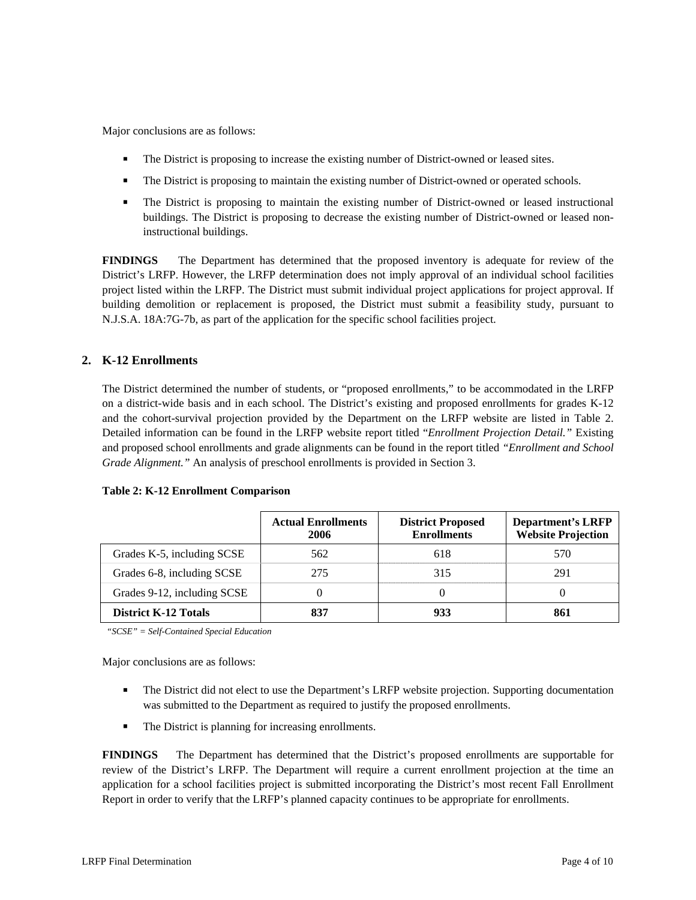Major conclusions are as follows:

- The District is proposing to increase the existing number of District-owned or leased sites.
- The District is proposing to maintain the existing number of District-owned or operated schools.
- The District is proposing to maintain the existing number of District-owned or leased instructional buildings. The District is proposing to decrease the existing number of District-owned or leased noninstructional buildings.

**FINDINGS** The Department has determined that the proposed inventory is adequate for review of the District's LRFP. However, the LRFP determination does not imply approval of an individual school facilities project listed within the LRFP. The District must submit individual project applications for project approval. If building demolition or replacement is proposed, the District must submit a feasibility study, pursuant to N.J.S.A. 18A:7G-7b, as part of the application for the specific school facilities project.

# **2. K-12 Enrollments**

The District determined the number of students, or "proposed enrollments," to be accommodated in the LRFP on a district-wide basis and in each school. The District's existing and proposed enrollments for grades K-12 and the cohort-survival projection provided by the Department on the LRFP website are listed in Table 2. Detailed information can be found in the LRFP website report titled "*Enrollment Projection Detail."* Existing and proposed school enrollments and grade alignments can be found in the report titled *"Enrollment and School Grade Alignment."* An analysis of preschool enrollments is provided in Section 3.

|                             | <b>Actual Enrollments</b><br>2006 | <b>District Proposed</b><br><b>Enrollments</b> | <b>Department's LRFP</b><br><b>Website Projection</b> |
|-----------------------------|-----------------------------------|------------------------------------------------|-------------------------------------------------------|
| Grades K-5, including SCSE  | 562                               | 618                                            | 570                                                   |
| Grades 6-8, including SCSE  | 275                               | 315                                            | 291                                                   |
| Grades 9-12, including SCSE |                                   |                                                |                                                       |
| <b>District K-12 Totals</b> | 837                               | 933                                            | 861                                                   |

#### **Table 2: K-12 Enrollment Comparison**

*"SCSE" = Self-Contained Special Education* 

Major conclusions are as follows:

- The District did not elect to use the Department's LRFP website projection. Supporting documentation was submitted to the Department as required to justify the proposed enrollments.
- The District is planning for increasing enrollments.

**FINDINGS** The Department has determined that the District's proposed enrollments are supportable for review of the District's LRFP. The Department will require a current enrollment projection at the time an application for a school facilities project is submitted incorporating the District's most recent Fall Enrollment Report in order to verify that the LRFP's planned capacity continues to be appropriate for enrollments.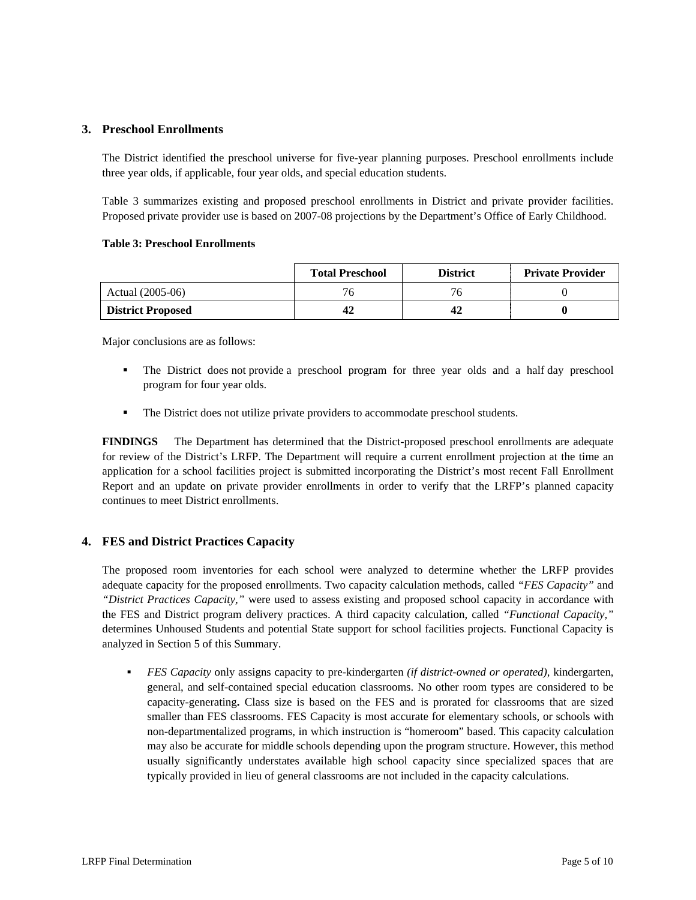#### **3. Preschool Enrollments**

The District identified the preschool universe for five-year planning purposes. Preschool enrollments include three year olds, if applicable, four year olds, and special education students.

Table 3 summarizes existing and proposed preschool enrollments in District and private provider facilities. Proposed private provider use is based on 2007-08 projections by the Department's Office of Early Childhood.

#### **Table 3: Preschool Enrollments**

|                          | <b>Total Preschool</b> | <b>District</b> | <b>Private Provider</b> |
|--------------------------|------------------------|-----------------|-------------------------|
| Actual (2005-06)         | 76                     | 76              |                         |
| <b>District Proposed</b> |                        |                 |                         |

Major conclusions are as follows:

- The District does not provide a preschool program for three year olds and a half day preschool program for four year olds.
- The District does not utilize private providers to accommodate preschool students.

**FINDINGS** The Department has determined that the District-proposed preschool enrollments are adequate for review of the District's LRFP. The Department will require a current enrollment projection at the time an application for a school facilities project is submitted incorporating the District's most recent Fall Enrollment Report and an update on private provider enrollments in order to verify that the LRFP's planned capacity continues to meet District enrollments.

# **4. FES and District Practices Capacity**

The proposed room inventories for each school were analyzed to determine whether the LRFP provides adequate capacity for the proposed enrollments. Two capacity calculation methods, called *"FES Capacity"* and *"District Practices Capacity,"* were used to assess existing and proposed school capacity in accordance with the FES and District program delivery practices. A third capacity calculation, called *"Functional Capacity,"* determines Unhoused Students and potential State support for school facilities projects. Functional Capacity is analyzed in Section 5 of this Summary.

 *FES Capacity* only assigns capacity to pre-kindergarten *(if district-owned or operated),* kindergarten, general, and self-contained special education classrooms. No other room types are considered to be capacity-generating**.** Class size is based on the FES and is prorated for classrooms that are sized smaller than FES classrooms. FES Capacity is most accurate for elementary schools, or schools with non-departmentalized programs, in which instruction is "homeroom" based. This capacity calculation may also be accurate for middle schools depending upon the program structure. However, this method usually significantly understates available high school capacity since specialized spaces that are typically provided in lieu of general classrooms are not included in the capacity calculations.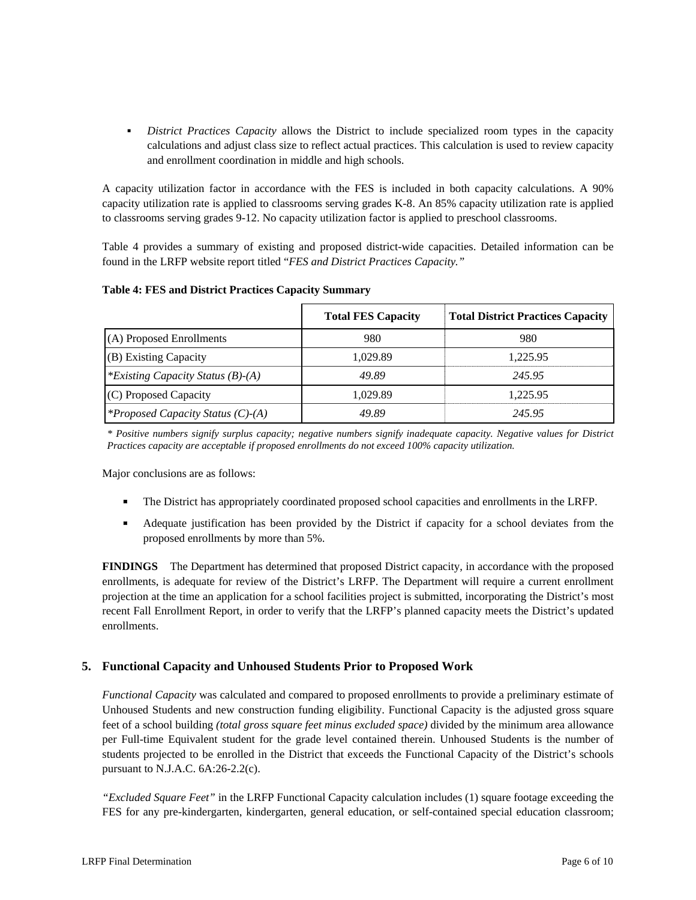*District Practices Capacity* allows the District to include specialized room types in the capacity calculations and adjust class size to reflect actual practices. This calculation is used to review capacity and enrollment coordination in middle and high schools.

A capacity utilization factor in accordance with the FES is included in both capacity calculations. A 90% capacity utilization rate is applied to classrooms serving grades K-8. An 85% capacity utilization rate is applied to classrooms serving grades 9-12. No capacity utilization factor is applied to preschool classrooms.

Table 4 provides a summary of existing and proposed district-wide capacities. Detailed information can be found in the LRFP website report titled "*FES and District Practices Capacity."*

|  |  |  |  |  | <b>Table 4: FES and District Practices Capacity Summary</b> |
|--|--|--|--|--|-------------------------------------------------------------|
|--|--|--|--|--|-------------------------------------------------------------|

|                                          | <b>Total FES Capacity</b> | <b>Total District Practices Capacity</b> |
|------------------------------------------|---------------------------|------------------------------------------|
| (A) Proposed Enrollments                 | 980                       | 980                                      |
| (B) Existing Capacity                    | 1.029.89                  | 1.225.95                                 |
| *Existing Capacity Status (B)-(A)        | 49.89                     | 245.95                                   |
| (C) Proposed Capacity                    | 1.029.89                  | 1.225.95                                 |
| <i>*Proposed Capacity Status (C)-(A)</i> | 49.89                     | 245.95                                   |

*\* Positive numbers signify surplus capacity; negative numbers signify inadequate capacity. Negative values for District Practices capacity are acceptable if proposed enrollments do not exceed 100% capacity utilization.* 

Major conclusions are as follows:

- The District has appropriately coordinated proposed school capacities and enrollments in the LRFP.
- Adequate justification has been provided by the District if capacity for a school deviates from the proposed enrollments by more than 5%.

**FINDINGS** The Department has determined that proposed District capacity, in accordance with the proposed enrollments, is adequate for review of the District's LRFP. The Department will require a current enrollment projection at the time an application for a school facilities project is submitted, incorporating the District's most recent Fall Enrollment Report, in order to verify that the LRFP's planned capacity meets the District's updated enrollments.

# **5. Functional Capacity and Unhoused Students Prior to Proposed Work**

*Functional Capacity* was calculated and compared to proposed enrollments to provide a preliminary estimate of Unhoused Students and new construction funding eligibility. Functional Capacity is the adjusted gross square feet of a school building *(total gross square feet minus excluded space)* divided by the minimum area allowance per Full-time Equivalent student for the grade level contained therein. Unhoused Students is the number of students projected to be enrolled in the District that exceeds the Functional Capacity of the District's schools pursuant to N.J.A.C. 6A:26-2.2(c).

*"Excluded Square Feet"* in the LRFP Functional Capacity calculation includes (1) square footage exceeding the FES for any pre-kindergarten, kindergarten, general education, or self-contained special education classroom;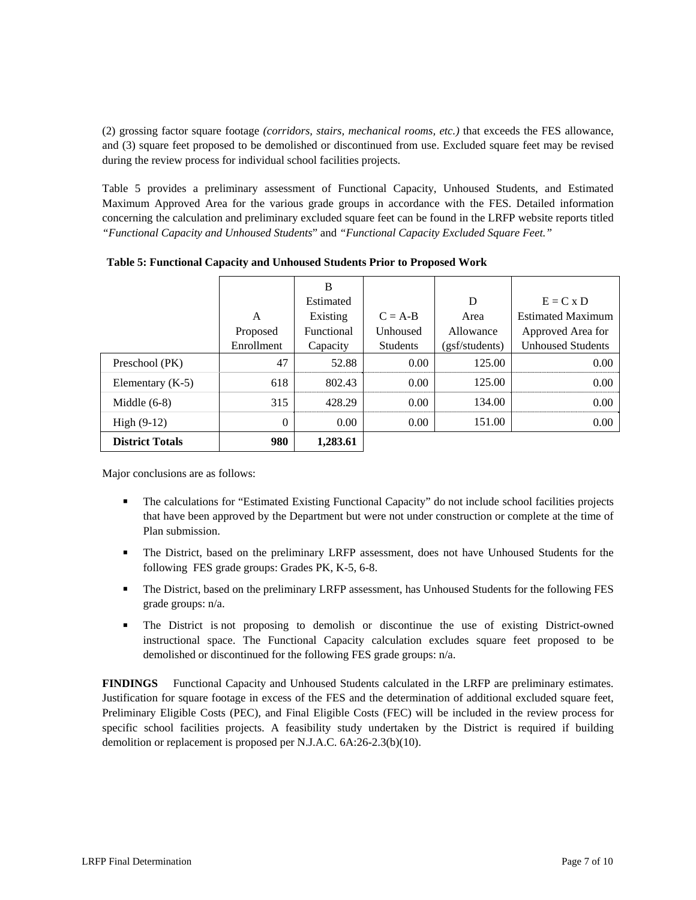(2) grossing factor square footage *(corridors, stairs, mechanical rooms, etc.)* that exceeds the FES allowance, and (3) square feet proposed to be demolished or discontinued from use. Excluded square feet may be revised during the review process for individual school facilities projects.

Table 5 provides a preliminary assessment of Functional Capacity, Unhoused Students, and Estimated Maximum Approved Area for the various grade groups in accordance with the FES. Detailed information concerning the calculation and preliminary excluded square feet can be found in the LRFP website reports titled *"Functional Capacity and Unhoused Students*" and *"Functional Capacity Excluded Square Feet."*

|                        |              | B          |                 |                |                          |
|------------------------|--------------|------------|-----------------|----------------|--------------------------|
|                        |              | Estimated  |                 | D              | $E = C x D$              |
|                        | A            | Existing   | $C = A-B$       | Area           | <b>Estimated Maximum</b> |
|                        | Proposed     | Functional | Unhoused        | Allowance      | Approved Area for        |
|                        | Enrollment   | Capacity   | <b>Students</b> | (gsf/students) | <b>Unhoused Students</b> |
| Preschool (PK)         | 47           | 52.88      | 0.00            | 125.00         | 0.00                     |
| Elementary $(K-5)$     | 618          | 802.43     | 0.00            | 125.00         | 0.00                     |
| Middle $(6-8)$         | 315          | 428.29     | 0.00            | 134.00         | 0.00                     |
| High $(9-12)$          | $\mathbf{0}$ | 0.00       | 0.00            | 151.00         | 0.00                     |
| <b>District Totals</b> | 980          | 1,283.61   |                 |                |                          |

**Table 5: Functional Capacity and Unhoused Students Prior to Proposed Work** 

Major conclusions are as follows:

- The calculations for "Estimated Existing Functional Capacity" do not include school facilities projects that have been approved by the Department but were not under construction or complete at the time of Plan submission.
- The District, based on the preliminary LRFP assessment, does not have Unhoused Students for the following FES grade groups: Grades PK, K-5, 6-8.
- The District, based on the preliminary LRFP assessment, has Unhoused Students for the following FES grade groups: n/a.
- The District is not proposing to demolish or discontinue the use of existing District-owned instructional space. The Functional Capacity calculation excludes square feet proposed to be demolished or discontinued for the following FES grade groups: n/a.

**FINDINGS** Functional Capacity and Unhoused Students calculated in the LRFP are preliminary estimates. Justification for square footage in excess of the FES and the determination of additional excluded square feet, Preliminary Eligible Costs (PEC), and Final Eligible Costs (FEC) will be included in the review process for specific school facilities projects. A feasibility study undertaken by the District is required if building demolition or replacement is proposed per N.J.A.C. 6A:26-2.3(b)(10).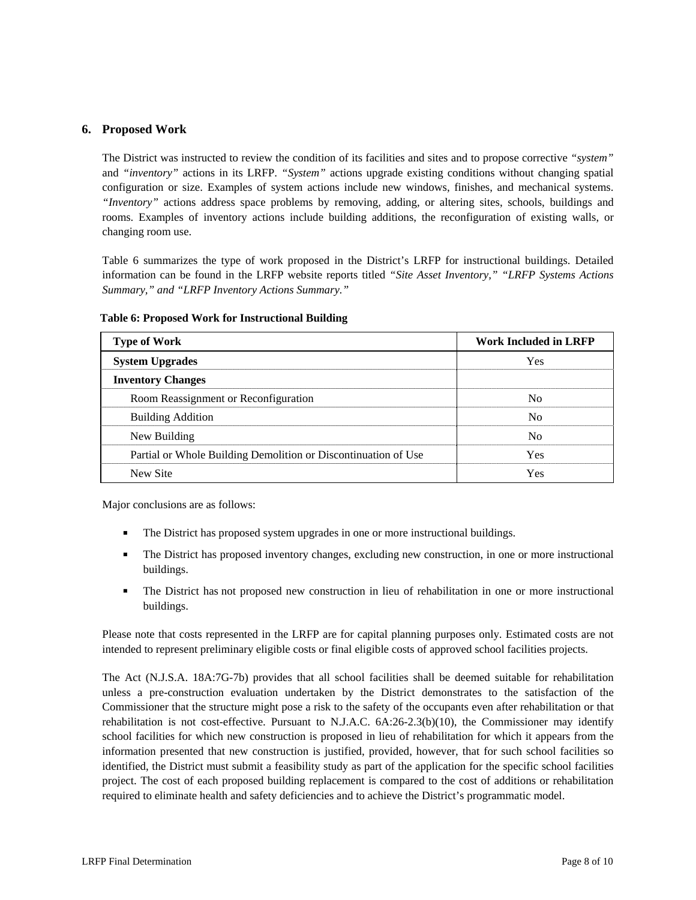#### **6. Proposed Work**

The District was instructed to review the condition of its facilities and sites and to propose corrective *"system"* and *"inventory"* actions in its LRFP. *"System"* actions upgrade existing conditions without changing spatial configuration or size. Examples of system actions include new windows, finishes, and mechanical systems. *"Inventory"* actions address space problems by removing, adding, or altering sites, schools, buildings and rooms. Examples of inventory actions include building additions, the reconfiguration of existing walls, or changing room use.

Table 6 summarizes the type of work proposed in the District's LRFP for instructional buildings. Detailed information can be found in the LRFP website reports titled *"Site Asset Inventory," "LRFP Systems Actions Summary," and "LRFP Inventory Actions Summary."* 

| <b>Type of Work</b>                                            | <b>Work Included in LRFP</b> |
|----------------------------------------------------------------|------------------------------|
| <b>System Upgrades</b>                                         | Yes                          |
| <b>Inventory Changes</b>                                       |                              |
| Room Reassignment or Reconfiguration                           | No.                          |
| <b>Building Addition</b>                                       | N <sub>0</sub>               |
| New Building                                                   | N <sub>0</sub>               |
| Partial or Whole Building Demolition or Discontinuation of Use | Yes                          |
| New Site                                                       | Yes                          |

**Table 6: Proposed Work for Instructional Building** 

Major conclusions are as follows:

- The District has proposed system upgrades in one or more instructional buildings.
- The District has proposed inventory changes, excluding new construction, in one or more instructional buildings.
- The District has not proposed new construction in lieu of rehabilitation in one or more instructional buildings.

Please note that costs represented in the LRFP are for capital planning purposes only. Estimated costs are not intended to represent preliminary eligible costs or final eligible costs of approved school facilities projects.

The Act (N.J.S.A. 18A:7G-7b) provides that all school facilities shall be deemed suitable for rehabilitation unless a pre-construction evaluation undertaken by the District demonstrates to the satisfaction of the Commissioner that the structure might pose a risk to the safety of the occupants even after rehabilitation or that rehabilitation is not cost-effective. Pursuant to N.J.A.C. 6A:26-2.3(b)(10), the Commissioner may identify school facilities for which new construction is proposed in lieu of rehabilitation for which it appears from the information presented that new construction is justified, provided, however, that for such school facilities so identified, the District must submit a feasibility study as part of the application for the specific school facilities project. The cost of each proposed building replacement is compared to the cost of additions or rehabilitation required to eliminate health and safety deficiencies and to achieve the District's programmatic model.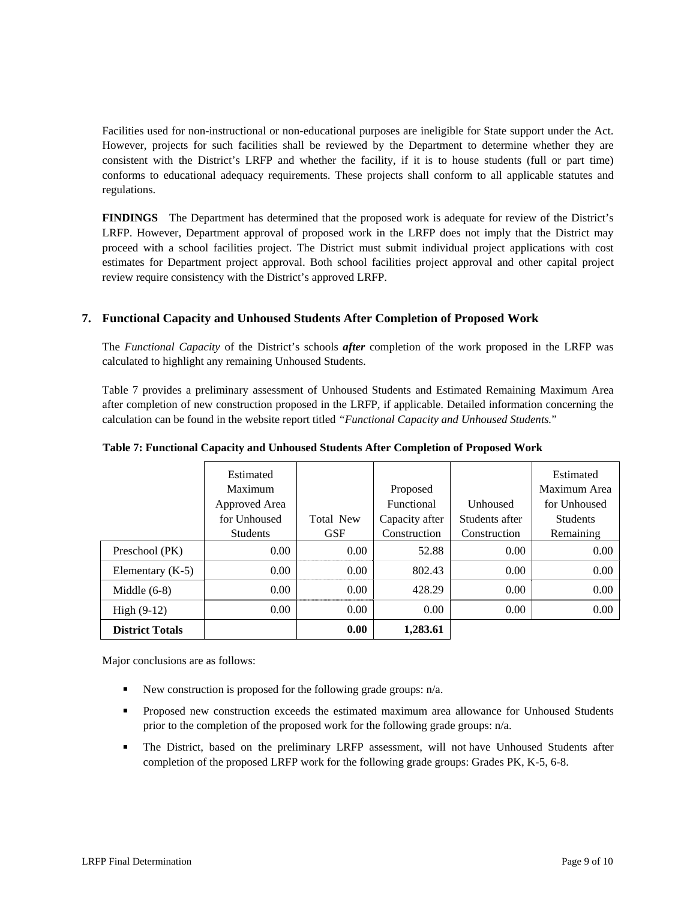Facilities used for non-instructional or non-educational purposes are ineligible for State support under the Act. However, projects for such facilities shall be reviewed by the Department to determine whether they are consistent with the District's LRFP and whether the facility, if it is to house students (full or part time) conforms to educational adequacy requirements. These projects shall conform to all applicable statutes and regulations.

**FINDINGS** The Department has determined that the proposed work is adequate for review of the District's LRFP. However, Department approval of proposed work in the LRFP does not imply that the District may proceed with a school facilities project. The District must submit individual project applications with cost estimates for Department project approval. Both school facilities project approval and other capital project review require consistency with the District's approved LRFP.

## **7. Functional Capacity and Unhoused Students After Completion of Proposed Work**

The *Functional Capacity* of the District's schools *after* completion of the work proposed in the LRFP was calculated to highlight any remaining Unhoused Students.

Table 7 provides a preliminary assessment of Unhoused Students and Estimated Remaining Maximum Area after completion of new construction proposed in the LRFP, if applicable. Detailed information concerning the calculation can be found in the website report titled *"Functional Capacity and Unhoused Students.*"

|                        | Estimated       |                   |                   |                 | Estimated       |
|------------------------|-----------------|-------------------|-------------------|-----------------|-----------------|
|                        | Maximum         |                   | Proposed          |                 | Maximum Area    |
|                        | Approved Area   |                   | <b>Functional</b> | <b>Unhoused</b> | for Unhoused    |
|                        | for Unhoused    | <b>Total New</b>  | Capacity after    | Students after  | <b>Students</b> |
|                        | <b>Students</b> | <b>GSF</b>        | Construction      | Construction    | Remaining       |
| Preschool (PK)         | 0.00            | 0.00              | 52.88             | 0.00            | 0.00            |
| Elementary $(K-5)$     | 0.00            | 0.00              | 802.43            | 0.00            | 0.00            |
| Middle $(6-8)$         | $0.00^{\circ}$  | 0.00 <sub>1</sub> | 428.29            | 0.00            | 0.00            |
| $High (9-12)$          | 0.00            | 0.00 <sub>1</sub> | 0.00              | 0.00            | 0.00            |
| <b>District Totals</b> |                 | 0.00              | 1,283.61          |                 |                 |

**Table 7: Functional Capacity and Unhoused Students After Completion of Proposed Work** 

Major conclusions are as follows:

- New construction is proposed for the following grade groups:  $n/a$ .
- **Proposed new construction exceeds the estimated maximum area allowance for Unhoused Students** prior to the completion of the proposed work for the following grade groups: n/a.
- The District, based on the preliminary LRFP assessment, will not have Unhoused Students after completion of the proposed LRFP work for the following grade groups: Grades PK, K-5, 6-8.